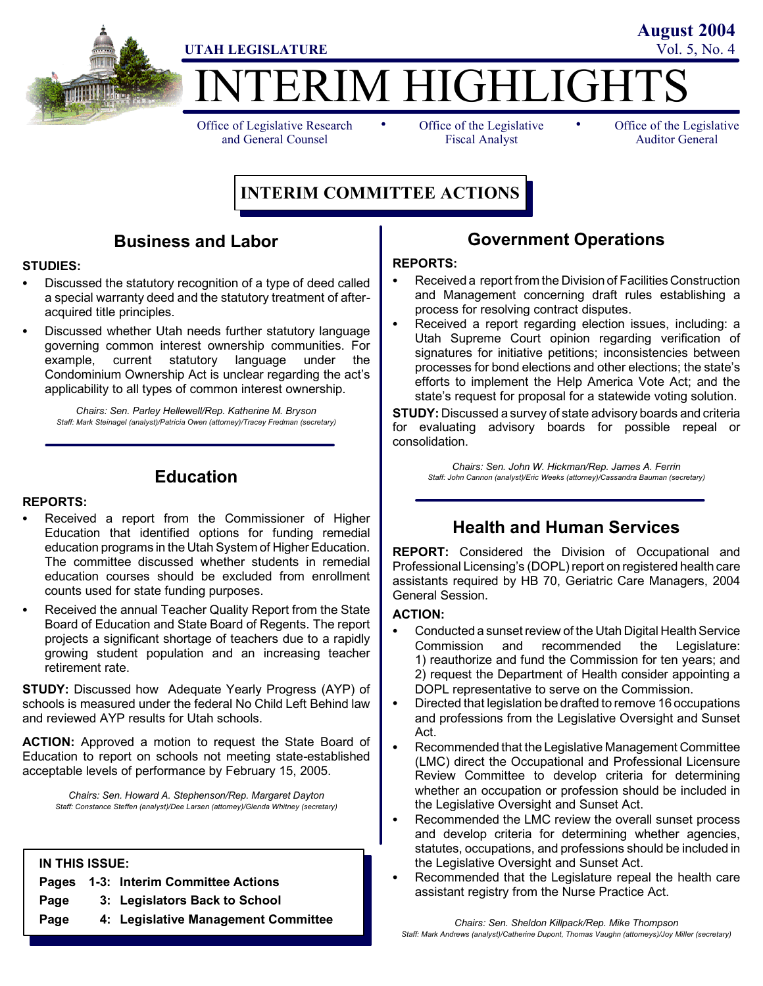

Office of Legislative Research and General Counsel

• Office of the Legislative • Fiscal Analyst

Office of the Legislative Auditor General

# **INTERIM COMMITTEE ACTIONS**

# **Business and Labor**

#### **STUDIES:**

- Discussed the statutory recognition of a type of deed called a special warranty deed and the statutory treatment of afteracquired title principles.
- Discussed whether Utah needs further statutory language governing common interest ownership communities. For example, current statutory language under the Condominium Ownership Act is unclear regarding the act's applicability to all types of common interest ownership.

*Chairs: Sen. Parley Hellewell/Rep. Katherine M. Bryson Staff: Mark Steinagel (analyst)/Patricia Owen (attorney)/Tracey Fredman (secretary)*

# **Education**

#### **REPORTS:**

- Received a report from the Commissioner of Higher Education that identified options for funding remedial education programs in the Utah System of Higher Education. The committee discussed whether students in remedial education courses should be excluded from enrollment counts used for state funding purposes.
- Received the annual Teacher Quality Report from the State Board of Education and State Board of Regents. The report projects a significant shortage of teachers due to a rapidly growing student population and an increasing teacher retirement rate.

**STUDY:** Discussed how Adequate Yearly Progress (AYP) of schools is measured under the federal No Child Left Behind law and reviewed AYP results for Utah schools.

**ACTION:** Approved a motion to request the State Board of Education to report on schools not meeting state-established acceptable levels of performance by February 15, 2005.

*Chairs: Sen. Howard A. Stephenson/Rep. Margaret Dayton Staff: Constance Steffen (analyst)/Dee Larsen (attorney)/Glenda Whitney (secretary)*

#### **IN THIS ISSUE:**

|                | Pages 1-3: Interim Committee Actions |
|----------------|--------------------------------------|
| <b>B</b> - - - | O. Lestabeters Deal to Ocheal        |

- **Page 3: Legislators Back to School**
- **Page 4: Legislative Management Committee**

## **Government Operations**

#### **REPORTS:**

- Received a report from the Division of Facilities Construction and Management concerning draft rules establishing a process for resolving contract disputes.
- Received a report regarding election issues, including: a Utah Supreme Court opinion regarding verification of signatures for initiative petitions; inconsistencies between processes for bond elections and other elections; the state's efforts to implement the Help America Vote Act; and the state's request for proposal for a statewide voting solution.

**STUDY:** Discussed a survey of state advisory boards and criteria for evaluating advisory boards for possible repeal or consolidation.

*Chairs: Sen. John W. Hickman/Rep. James A. Ferrin Staff: John Cannon (analyst)/Eric Weeks (attorney)/Cassandra Bauman (secretary)*

## **Health and Human Services**

**REPORT:** Considered the Division of Occupational and Professional Licensing's (DOPL) report on registered health care assistants required by HB 70, Geriatric Care Managers, 2004 General Session.

#### **ACTION:**

- Conducted a sunset review of the Utah Digital Health Service Commission and recommended the Legislature: 1) reauthorize and fund the Commission for ten years; and 2) request the Department of Health consider appointing a DOPL representative to serve on the Commission.
- Directed that legislation be drafted to remove 16 occupations and professions from the Legislative Oversight and Sunset Act.
- Recommended that the Legislative Management Committee (LMC) direct the Occupational and Professional Licensure Review Committee to develop criteria for determining whether an occupation or profession should be included in the Legislative Oversight and Sunset Act.
- Recommended the LMC review the overall sunset process and develop criteria for determining whether agencies, statutes, occupations, and professions should be included in the Legislative Oversight and Sunset Act.
- Recommended that the Legislature repeal the health care assistant registry from the Nurse Practice Act.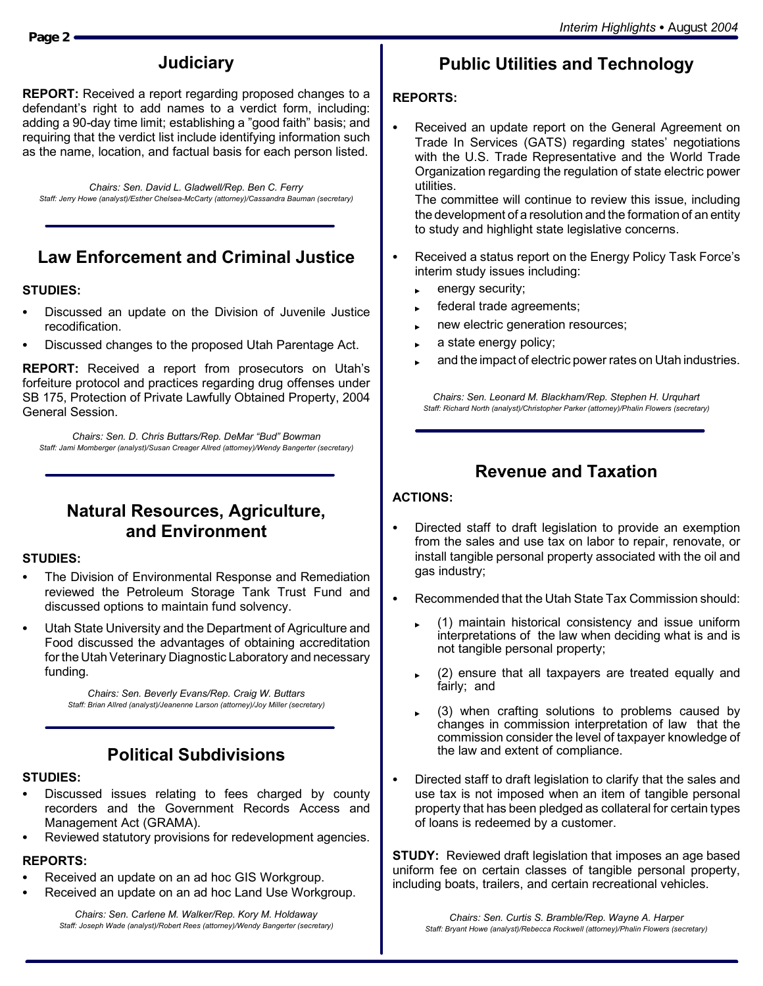# **Judiciary**

**REPORT:** Received a report regarding proposed changes to a defendant's right to add names to a verdict form, including: adding a 90-day time limit; establishing a "good faith" basis; and requiring that the verdict list include identifying information such as the name, location, and factual basis for each person listed.

*Chairs: Sen. David L. Gladwell/Rep. Ben C. Ferry Staff: Jerry Howe (analyst)/Esther Chelsea-McCarty (attorney)/Cassandra Bauman (secretary)*

# **Law Enforcement and Criminal Justice**

#### **STUDIES:**

- Discussed an update on the Division of Juvenile Justice recodification.
- Discussed changes to the proposed Utah Parentage Act.

**REPORT:** Received a report from prosecutors on Utah's forfeiture protocol and practices regarding drug offenses under SB 175, Protection of Private Lawfully Obtained Property, 2004 General Session.

*Chairs: Sen. D. Chris Buttars/Rep. DeMar "Bud" Bowman Staff: Jami Momberger (analyst)/Susan Creager Allred (attorney)/Wendy Bangerter (secretary)*

## **Natural Resources, Agriculture, and Environment**

#### **STUDIES:**

- The Division of Environmental Response and Remediation reviewed the Petroleum Storage Tank Trust Fund and discussed options to maintain fund solvency.
- Utah State University and the Department of Agriculture and Food discussed the advantages of obtaining accreditation for the Utah Veterinary Diagnostic Laboratory and necessary funding.

*Chairs: Sen. Beverly Evans/Rep. Craig W. Buttars Staff: Brian Allred (analyst)/Jeanenne Larson (attorney)/Joy Miller (secretary)*

# **Political Subdivisions**

#### **STUDIES:**

- Discussed issues relating to fees charged by county recorders and the Government Records Access and Management Act (GRAMA).
- Reviewed statutory provisions for redevelopment agencies.

#### **REPORTS:**

- Received an update on an ad hoc GIS Workgroup.
- Received an update on an ad hoc Land Use Workgroup.

*Chairs: Sen. Carlene M. Walker/Rep. Kory M. Holdaway Staff: Joseph Wade (analyst)/Robert Rees (attorney)/Wendy Bangerter (secretary)*

# **Public Utilities and Technology**

## **REPORTS:**

Received an update report on the General Agreement on Trade In Services (GATS) regarding states' negotiations with the U.S. Trade Representative and the World Trade Organization regarding the regulation of state electric power utilities.

The committee will continue to review this issue, including the development of a resolution and the formation of an entity to study and highlight state legislative concerns.

- Received a status report on the Energy Policy Task Force's interim study issues including:
	- $\leftarrow$  energy security;
	- federal trade agreements;
	- new electric generation resources;
	- a state energy policy;
	- and the impact of electric power rates on Utah industries.

*Chairs: Sen. Leonard M. Blackham/Rep. Stephen H. Urquhart Staff: Richard North (analyst)/Christopher Parker (attorney)/Phalin Flowers (secretary)*

# **Revenue and Taxation**

## **ACTIONS:**

- Directed staff to draft legislation to provide an exemption from the sales and use tax on labor to repair, renovate, or install tangible personal property associated with the oil and gas industry;
- S Recommended that the Utah State Tax Commission should:
	- (1) maintain historical consistency and issue uniform interpretations of the law when deciding what is and is not tangible personal property;
	- (2) ensure that all taxpayers are treated equally and fairly; and
	- (3) when crafting solutions to problems caused by changes in commission interpretation of law that the commission consider the level of taxpayer knowledge of the law and extent of compliance.
- Directed staff to draft legislation to clarify that the sales and use tax is not imposed when an item of tangible personal property that has been pledged as collateral for certain types of loans is redeemed by a customer.

**STUDY:** Reviewed draft legislation that imposes an age based uniform fee on certain classes of tangible personal property, including boats, trailers, and certain recreational vehicles.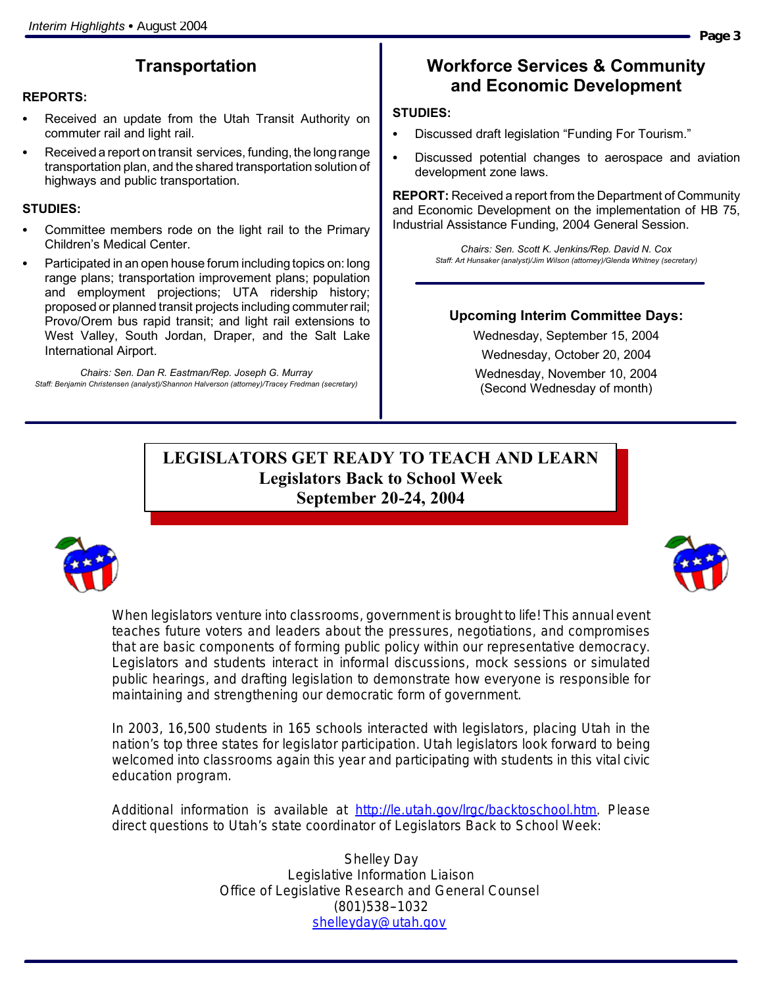# **Transportation**

#### **REPORTS:**

- Received an update from the Utah Transit Authority on commuter rail and light rail.
- Received a report on transit services, funding, the long range transportation plan, and the shared transportation solution of highways and public transportation.

#### **STUDIES:**

- Committee members rode on the light rail to the Primary Children's Medical Center.
- Participated in an open house forum including topics on: long range plans; transportation improvement plans; population and employment projections; UTA ridership history; proposed or planned transit projects including commuter rail; Provo/Orem bus rapid transit; and light rail extensions to West Valley, South Jordan, Draper, and the Salt Lake International Airport.

*Chairs: Sen. Dan R. Eastman/Rep. Joseph G. Murray Staff: Benjamin Christensen (analyst)/Shannon Halverson (attorney)/Tracey Fredman (secretary)*

## **Workforce Services & Community and Economic Development**

#### **STUDIES:**

- Discussed draft legislation "Funding For Tourism."
- Discussed potential changes to aerospace and aviation development zone laws.

**REPORT:** Received a report from the Department of Community and Economic Development on the implementation of HB 75, Industrial Assistance Funding, 2004 General Session.

> *Chairs: Sen. Scott K. Jenkins/Rep. David N. Cox Staff: Art Hunsaker (analyst)/Jim Wilson (attorney)/Glenda Whitney (secretary)*

#### **Upcoming Interim Committee Days:**

Wednesday, September 15, 2004 Wednesday, October 20, 2004 Wednesday, November 10, 2004 (Second Wednesday of month)

## **LEGISLATORS GET READY TO TEACH AND LEARN Legislators Back to School Week September 20-24, 2004**



When legislators venture into classrooms, government is brought to life! This annual event teaches future voters and leaders about the pressures, negotiations, and compromises that are basic components of forming public policy within our representative democracy. Legislators and students interact in informal discussions, mock sessions or simulated public hearings, and drafting legislation to demonstrate how everyone is responsible for maintaining and strengthening our democratic form of government.

In 2003, 16,500 students in 165 schools interacted with legislators, placing Utah in the nation's top three states for legislator participation. Utah legislators look forward to being welcomed into classrooms again this year and participating with students in this vital civic education program.

Additional information is available at http://le.utah.gov/lrgc/backtoschool.htm. Please direct questions to Utah's state coordinator of Legislators Back to School Week:

> Shelley Day Legislative Information Liaison Office of Legislative Research and General Counsel (801)538--1032 shelleyday@utah.gov

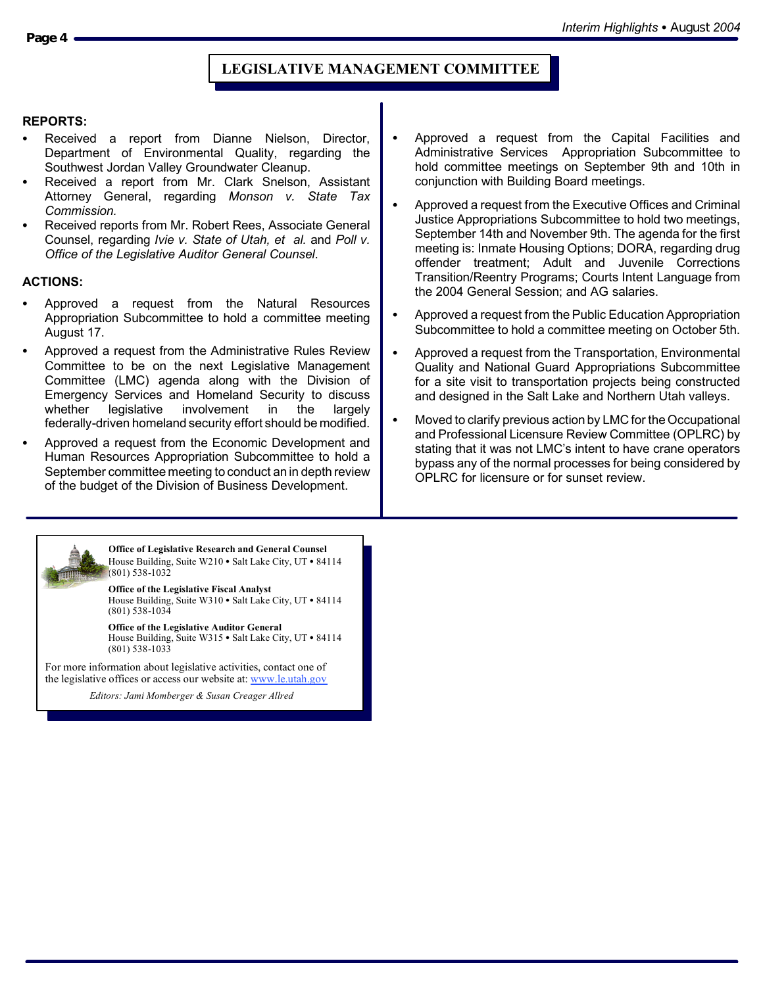## **LEGISLATIVE MANAGEMENT COMMITTEE**

#### **REPORTS:**

- Received a report from Dianne Nielson, Director, Department of Environmental Quality, regarding the Southwest Jordan Valley Groundwater Cleanup.
- Received a report from Mr. Clark Snelson, Assistant Attorney General, regarding *Monson v. State Tax Commission.*
- Received reports from Mr. Robert Rees, Associate General Counsel, regarding *Ivie v. State of Utah, et al.* and *Poll v. Office of the Legislative Auditor General Counsel*.

#### **ACTIONS:**

- Approved a request from the Natural Resources Appropriation Subcommittee to hold a committee meeting August 17.
- Approved a request from the Administrative Rules Review Committee to be on the next Legislative Management Committee (LMC) agenda along with the Division of Emergency Services and Homeland Security to discuss whether legislative involvement in the largely federally-driven homeland security effort should be modified.
- Approved a request from the Economic Development and Human Resources Appropriation Subcommittee to hold a September committee meeting to conduct an in depth review of the budget of the Division of Business Development.

**Office of Legislative Research and General Counsel** House Building, Suite W210 · Salt Lake City, UT · 84114 (801) 538-1032

**Office of the Legislative Fiscal Analyst** House Building, Suite W310 · Salt Lake City, UT · 84114 (801) 538-1034

**Office of the Legislative Auditor General** House Building, Suite W315 • Salt Lake City, UT • 84114 (801) 538-1033

For more information about legislative activities, contact one of the legislative offices or access our website at: www.le.utah.gov

*Editors: Jami Momberger & Susan Creager Allred*

- Approved a request from the Capital Facilities and Administrative Services Appropriation Subcommittee to hold committee meetings on September 9th and 10th in conjunction with Building Board meetings.
- Approved a request from the Executive Offices and Criminal Justice Appropriations Subcommittee to hold two meetings, September 14th and November 9th. The agenda for the first meeting is: Inmate Housing Options; DORA, regarding drug offender treatment; Adult and Juvenile Corrections Transition/Reentry Programs; Courts Intent Language from the 2004 General Session; and AG salaries.
- Approved a request from the Public Education Appropriation Subcommittee to hold a committee meeting on October 5th.
- Approved a request from the Transportation, Environmental Quality and National Guard Appropriations Subcommittee for a site visit to transportation projects being constructed and designed in the Salt Lake and Northern Utah valleys.
- Moved to clarify previous action by LMC for the Occupational and Professional Licensure Review Committee (OPLRC) by stating that it was not LMC's intent to have crane operators bypass any of the normal processes for being considered by OPLRC for licensure or for sunset review.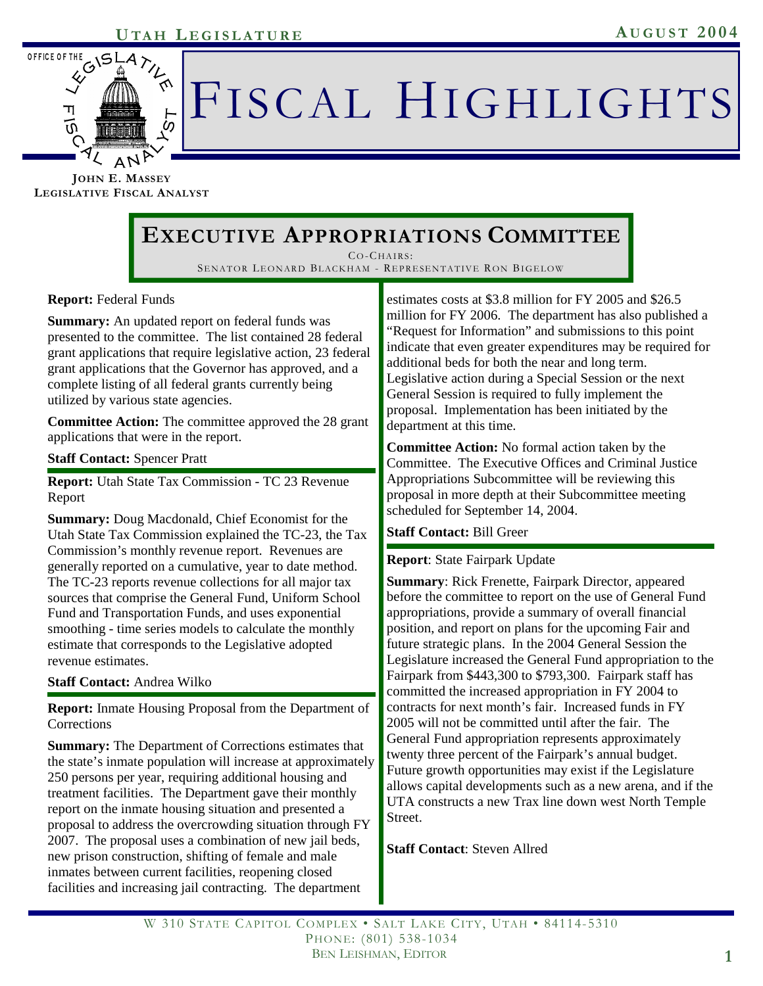

# FISCAL HIGHLIGHTS

**JOHN E. MASSEY LEGISLATIVE FISCAL ANALYST**

# **EXECUTIVE APPROPRIATIONS COMMITTEE**

CO-CHAIRS : SENATOR LEONARD BLACKHAM - REPRESENTATIVE RON BIGELOW

## **Report:** Federal Funds

**Summary:** An updated report on federal funds was presented to the committee. The list contained 28 federal grant applications that require legislative action, 23 federal grant applications that the Governor has approved, and a complete listing of all federal grants currently being utilized by various state agencies.

**Committee Action:** The committee approved the 28 grant applications that were in the report.

#### **Staff Contact:** Spencer Pratt

**Report:** Utah State Tax Commission - TC 23 Revenue Report

**Summary:** Doug Macdonald, Chief Economist for the Utah State Tax Commission explained the TC-23, the Tax Commission's monthly revenue report. Revenues are generally reported on a cumulative, year to date method. The TC-23 reports revenue collections for all major tax sources that comprise the General Fund, Uniform School Fund and Transportation Funds, and uses exponential smoothing - time series models to calculate the monthly estimate that corresponds to the Legislative adopted revenue estimates.

**Staff Contact:** Andrea Wilko

**Report:** Inmate Housing Proposal from the Department of **Corrections** 

**Summary:** The Department of Corrections estimates that the state's inmate population will increase at approximately 250 persons per year, requiring additional housing and treatment facilities. The Department gave their monthly report on the inmate housing situation and presented a proposal to address the overcrowding situation through FY 2007. The proposal uses a combination of new jail beds, new prison construction, shifting of female and male inmates between current facilities, reopening closed facilities and increasing jail contracting. The department

estimates costs at \$3.8 million for FY 2005 and \$26.5 million for FY 2006. The department has also published a "Request for Information" and submissions to this point indicate that even greater expenditures may be required for additional beds for both the near and long term. Legislative action during a Special Session or the next General Session is required to fully implement the proposal. Implementation has been initiated by the department at this time.

**Committee Action:** No formal action taken by the Committee. The Executive Offices and Criminal Justice Appropriations Subcommittee will be reviewing this proposal in more depth at their Subcommittee meeting scheduled for September 14, 2004.

## **Staff Contact:** Bill Greer

#### **Report**: State Fairpark Update

**Summary**: Rick Frenette, Fairpark Director, appeared before the committee to report on the use of General Fund appropriations, provide a summary of overall financial position, and report on plans for the upcoming Fair and future strategic plans. In the 2004 General Session the Legislature increased the General Fund appropriation to the Fairpark from \$443,300 to \$793,300. Fairpark staff has committed the increased appropriation in FY 2004 to contracts for next month's fair. Increased funds in FY 2005 will not be committed until after the fair. The General Fund appropriation represents approximately twenty three percent of the Fairpark's annual budget. Future growth opportunities may exist if the Legislature allows capital developments such as a new arena, and if the UTA constructs a new Trax line down west North Temple Street.

**Staff Contact**: Steven Allred